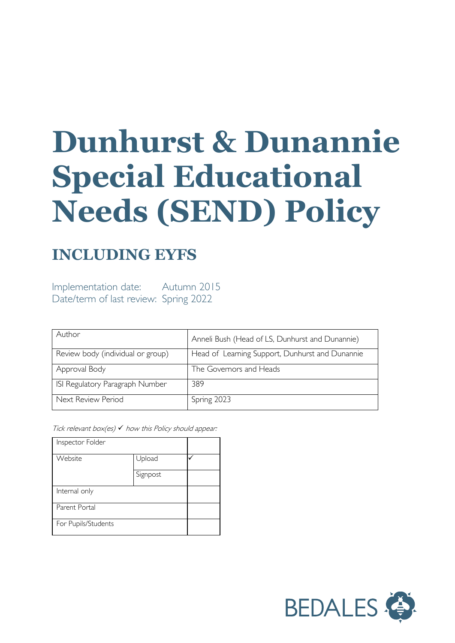# **Dunhurst & Dunannie Special Educational Needs (SEND) Policy**

## **INCLUDING EYFS**

Implementation date: Autumn 2015 Date/term of last review: Spring 2022

| Author                            | Anneli Bush (Head of LS, Dunhurst and Dunannie) |
|-----------------------------------|-------------------------------------------------|
| Review body (individual or group) | Head of Learning Support, Dunhurst and Dunannie |
| Approval Body                     | The Governors and Heads                         |
| ISI Regulatory Paragraph Number   | 389                                             |
| Next Review Period                | Spring 2023                                     |

Tick relevant box(es)  $\checkmark$  how this Policy should appear:

| Inspector Folder    |          |  |
|---------------------|----------|--|
| Website             | Upload   |  |
|                     | Signpost |  |
| Internal only       |          |  |
| Parent Portal       |          |  |
| For Pupils/Students |          |  |

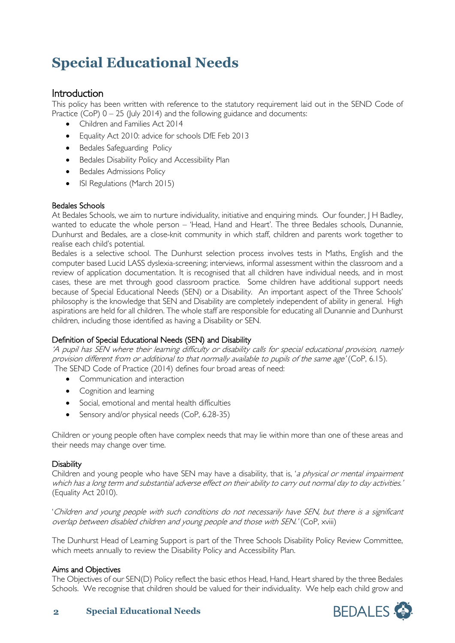# **Special Educational Needs**

Introduction<br>This policy has been written with reference to the statutory requirement laid out in the SEND Code of Practice (CoP)  $0 - 25$  (July 2014) and the following guidance and documents:

- Children and Families Act 2014
- Equality Act 2010: advice for schools DfE Feb 2013
- Bedales Safeguarding Policy
- Bedales Disability Policy and Accessibility Plan
- Bedales Admissions Policy
- ISI Regulations (March 2015)

#### Bedales Schools

At Bedales Schools, we aim to nurture individuality, initiative and enquiring minds. Our founder, J H Badley, wanted to educate the whole person – 'Head, Hand and Heart'. The three Bedales schools, Dunannie, Dunhurst and Bedales, are a close-knit community in which staff, children and parents work together to realise each child's potential.

Bedales is a selective school. The Dunhurst selection process involves tests in Maths, English and the computer based Lucid LASS dyslexia-screening; interviews, informal assessment within the classroom and a review of application documentation. It is recognised that all children have individual needs, and in most cases, these are met through good classroom practice. Some children have additional support needs because of Special Educational Needs (SEN) or a Disability. An important aspect of the Three Schools' philosophy is the knowledge that SEN and Disability are completely independent of ability in general. High aspirations are held for all children. The whole staff are responsible for educating all Dunannie and Dunhurst children, including those identified as having a Disability or SEN.

#### Definition of Special Educational Needs (SEN) and Disability

'A pupil has SEN where their learning difficulty or disability calls for special educational provision, namely provision different from or additional to that normally available to pupils of the same age' (CoP, 6.15). The SEND Code of Practice (2014) defines four broad areas of need:

- Communication and interaction
- Cognition and learning
- Social, emotional and mental health difficulties
- Sensory and/or physical needs (CoP, 6.28-35)

Children or young people often have complex needs that may lie within more than one of these areas and their needs may change over time.

#### **Disability**

Children and young people who have SEN may have a disability, that is, 'a physical or mental impairment which has a long term and substantial adverse effect on their ability to carry out normal day to day activities.' (Equality Act 2010).

'Children and young people with such conditions do not necessarily have SEN, but there is a significant overlap between disabled children and young people and those with SEN.' (CoP, xviii)

The Dunhurst Head of Learning Support is part of the Three Schools Disability Policy Review Committee, which meets annually to review the Disability Policy and Accessibility Plan.

#### Aims and Objectives

The Objectives of our SEN(D) Policy reflect the basic ethos Head, Hand, Heart shared by the three Bedales Schools. We recognise that children should be valued for their individuality. We help each child grow and



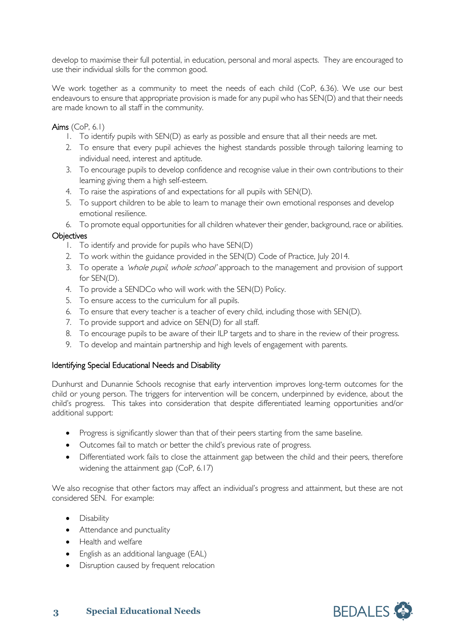develop to maximise their full potential, in education, personal and moral aspects. They are encouraged to use their individual skills for the common good.

We work together as a community to meet the needs of each child (CoP, 6.36). We use our best endeavours to ensure that appropriate provision is made for any pupil who has SEN(D) and that their needs are made known to all staff in the community.

Aims (CoP, 6.1)

- 1. To identify pupils with SEN(D) as early as possible and ensure that all their needs are met.
- 2. To ensure that every pupil achieves the highest standards possible through tailoring learning to individual need, interest and aptitude.
- 3. To encourage pupils to develop confidence and recognise value in their own contributions to their learning giving them a high self-esteem.
- 4. To raise the aspirations of and expectations for all pupils with SEN(D).
- 5. To support children to be able to learn to manage their own emotional responses and develop emotional resilience.

6. To promote equal opportunities for all children whatever their gender, background, race or abilities.

#### **Objectives**

- 1. To identify and provide for pupils who have SEN(D)
- 2. To work within the guidance provided in the SEN(D) Code of Practice, luly 2014.
- 3. To operate a 'whole pupil, whole school' approach to the management and provision of support for SEN(D).
- 4. To provide a SENDCo who will work with the SEN(D) Policy.
- 5. To ensure access to the curriculum for all pupils.
- 6. To ensure that every teacher is a teacher of every child, including those with SEN(D).
- 7. To provide support and advice on SEN(D) for all staff.
- 8. To encourage pupils to be aware of their ILP targets and to share in the review of their progress.
- 9. To develop and maintain partnership and high levels of engagement with parents.

#### Identifying Special Educational Needs and Disability

Dunhurst and Dunannie Schools recognise that early intervention improves long-term outcomes for the child or young person. The triggers for intervention will be concern, underpinned by evidence, about the child's progress. This takes into consideration that despite differentiated learning opportunities and/or additional support:

- Progress is significantly slower than that of their peers starting from the same baseline.
- Outcomes fail to match or better the child's previous rate of progress.
- Differentiated work fails to close the attainment gap between the child and their peers, therefore widening the attainment gap (CoP, 6.17)

We also recognise that other factors may affect an individual's progress and attainment, but these are not considered SEN. For example:

- Disability
- Attendance and punctuality
- Health and welfare
- English as an additional language (EAL)
- Disruption caused by frequent relocation

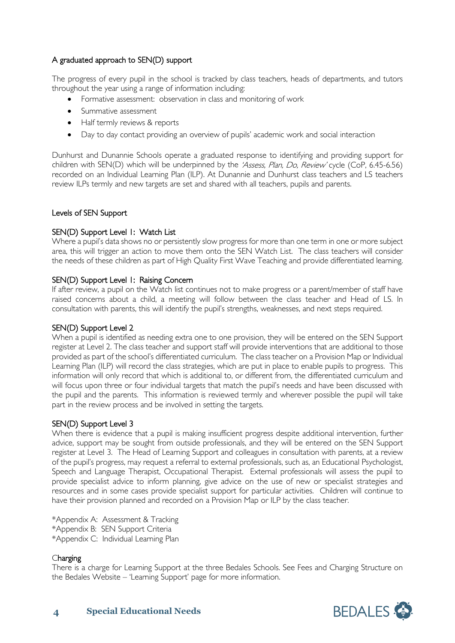#### A graduated approach to SEN(D) support

The progress of every pupil in the school is tracked by class teachers, heads of departments, and tutors throughout the year using a range of information including:

- Formative assessment: observation in class and monitoring of work
- Summative assessment
- Half termly reviews & reports
- Day to day contact providing an overview of pupils' academic work and social interaction

Dunhurst and Dunannie Schools operate a graduated response to identifying and providing support for children with SEN(D) which will be underpinned by the 'Assess, Plan, Do, Review' cycle (CoP, 6.45-6.56) recorded on an Individual Learning Plan (ILP). At Dunannie and Dunhurst class teachers and LS teachers review ILPs termly and new targets are set and shared with all teachers, pupils and parents.

#### Levels of SEN Support

#### SEN(D) Support Level 1: Watch List

Where a pupil's data shows no or persistently slow progress for more than one term in one or more subject area, this will trigger an action to move them onto the SEN Watch List. The class teachers will consider the needs of these children as part of High Quality First Wave Teaching and provide differentiated learning.

#### SEN(D) Support Level 1: Raising Concern

If after review, a pupil on the Watch list continues not to make progress or a parent/member of staff have raised concerns about a child, a meeting will follow between the class teacher and Head of LS. In consultation with parents, this will identify the pupil's strengths, weaknesses, and next steps required.

#### SEN(D) Support Level 2

When a pupil is identified as needing extra one to one provision, they will be entered on the SEN Support register at Level 2. The class teacher and support staff will provide interventions that are additional to those provided as part of the school's differentiated curriculum. The class teacher on a Provision Map or Individual Learning Plan (ILP) will record the class strategies, which are put in place to enable pupils to progress. This information will only record that which is additional to, or different from, the differentiated curriculum and will focus upon three or four individual targets that match the pupil's needs and have been discussed with the pupil and the parents. This information is reviewed termly and wherever possible the pupil will take part in the review process and be involved in setting the targets.

#### SEN(D) Support Level 3

When there is evidence that a pupil is making insufficient progress despite additional intervention, further advice, support may be sought from outside professionals, and they will be entered on the SEN Support register at Level 3. The Head of Learning Support and colleagues in consultation with parents, at a review of the pupil's progress, may request a referral to external professionals, such as, an Educational Psychologist, Speech and Language Therapist, Occupational Therapist. External professionals will assess the pupil to provide specialist advice to inform planning, give advice on the use of new or specialist strategies and resources and in some cases provide specialist support for particular activities. Children will continue to have their provision planned and recorded on a Provision Map or ILP by the class teacher.

\*Appendix A: Assessment & Tracking \*Appendix B: SEN Support Criteria \*Appendix C: Individual Learning Plan

#### Charging

There is a charge for Learning Support at the three Bedales Schools. See Fees and Charging Structure on the Bedales Website – 'Learning Support' page for more information.

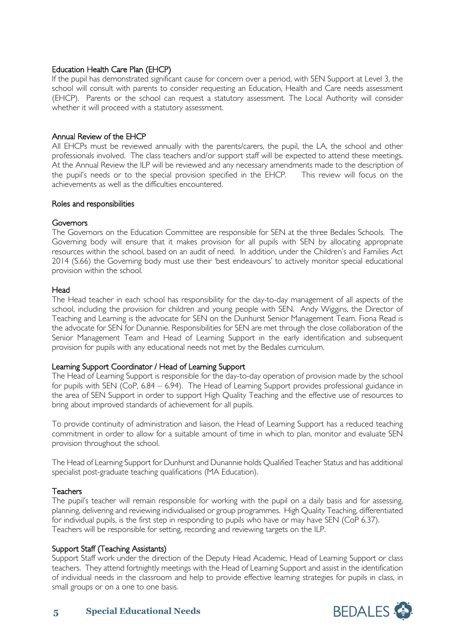#### Education Health Care Plan (EHCP)

If the pupil has demonstrated significant cause for concern over a period, with SEN Support at Level 3, the school will consult with parents to consider requesting an Education, Health and Care needs assessment (EHCP). Parents or the school can request a statutory assessment. The Local Authority will consider whether it will proceed with a statutory assessment.

#### Annual Review of the EHCP

All EHCPs must be reviewed annually with the parents/carers, the pupil, the LA, the school and other professionals involved. The class teachers and/or support staff will be expected to attend these meetings. At the Annual Review the ILP will be reviewed and any necessary amendments made to the description of the pupil's needs or to the special provision specified in the EHCP. This review will focus on the achievements as well as the difficulties encountered.

#### Roles and responsibilities

#### **Governors**

The Governors on the Education Committee are responsible for SEN at the three Bedales Schools. The Governing body will ensure that it makes provision for all pupils with SEN by allocating appropriate resources within the school, based on an audit of need. In addition, under the Children's and Families Act 2014 (S.66) the Governing body must use their 'best endeavours' to actively monitor special educational provision within the school.

#### **Head**

The Head teacher in each school has responsibility for the day-to-day management of all aspects of the school, including the provision for children and young people with SEN. Andy Wiggins, the Director of Teaching and Learning is the advocate for SEN on the Dunhurst Senior Management Team. Fiona Read is the advocate for SEN for Dunannie. Responsibilities for SEN are met through the close collaboration of the Senior Management Team and Head of Learning Support in the early identification and subsequent provision for pupils with any educational needs not met by the Bedales curriculum.

#### Learning Support Coordinator / Head of Learning Support

The Head of Learning Support is responsible for the day-to-day operation of provision made by the school for pupils with SEN (CoP, 6.84 – 6.94). The Head of Learning Support provides professional guidance in the area of SEN Support in order to support High Quality Teaching and the effective use of resources to bring about improved standards of achievement for all pupils.

To provide continuity of administration and liaison, the Head of Learning Support has a reduced teaching commitment in order to allow for a suitable amount of time in which to plan, monitor and evaluate SEN provision throughout the school.

The Head of Learning Support for Dunhurst and Dunannie holds Qualified Teacher Status and has additional specialist post-graduate teaching qualifications (MA Education).

#### **Teachers**

The pupil's teacher will remain responsible for working with the pupil on a daily basis and for assessing, planning, delivering and reviewing individualised or group programmes. High Quality Teaching, differentiated for individual pupils, is the first step in responding to pupils who have or may have SEN (CoP 6.37). Teachers will be responsible for setting, recording and reviewing targets on the ILP.

#### Support Staff (Teaching Assistants)

Support Staff work under the direction of the Deputy Head Academic, Head of Learning Support or class teachers. They attend fortnightly meetings with the Head of Learning Support and assist in the identification of individual needs in the classroom and help to provide effective learning strategies for pupils in class, in small groups or on a one to one basis.

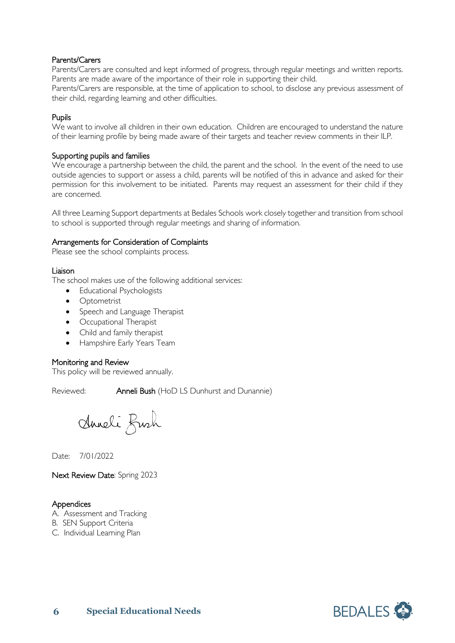#### Parents/Carers

Parents/Carers are consulted and kept informed of progress, through regular meetings and written reports. Parents are made aware of the importance of their role in supporting their child.

Parents/Carers are responsible, at the time of application to school, to disclose any previous assessment of their child, regarding learning and other difficulties.

#### Pupils

We want to involve all children in their own education. Children are encouraged to understand the nature of their learning profile by being made aware of their targets and teacher review comments in their ILP.

#### Supporting pupils and families

We encourage a partnership between the child, the parent and the school. In the event of the need to use outside agencies to support or assess a child, parents will be notified of this in advance and asked for their permission for this involvement to be initiated. Parents may request an assessment for their child if they are concerned.

All three Learning Support departments at Bedales Schools work closely together and transition from school to school is supported through regular meetings and sharing of information.

#### Arrangements for Consideration of Complaints

Please see the school complaints process.

#### Liaison

The school makes use of the following additional services:

- Educational Psychologists
- Optometrist
- Speech and Language Therapist
- Occupational Therapist
- Child and family therapist
- Hampshire Early Years Team

#### Monitoring and Review

This policy will be reviewed annually.

Reviewed: **Anneli Bush** (HoD LS Dunhurst and Dunannie)

Anneli Fush

Date: 7/01/2022

Next Review Date: Spring 2023

#### **Appendices**

- A. Assessment and Tracking
- B. SEN Support Criteria
- C. Individual Learning Plan

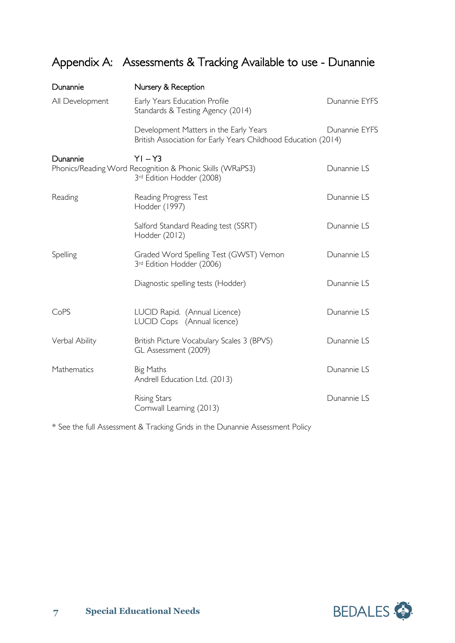## Appendix A: Assessments & Tracking Available to use - Dunannie

| Dunannie        | Nursery & Reception                                                                                      |               |
|-----------------|----------------------------------------------------------------------------------------------------------|---------------|
| All Development | Early Years Education Profile<br>Standards & Testing Agency (2014)                                       | Dunannie EYFS |
|                 | Development Matters in the Early Years<br>British Association for Early Years Childhood Education (2014) | Dunannie EYFS |
| Dunannie        | $YI - Y3$<br>Phonics/Reading Word Recognition & Phonic Skills (WRaPS3)<br>3rd Edition Hodder (2008)      | Dunannie LS   |
| Reading         | Reading Progress Test<br>Hodder (1997)                                                                   | Dunannie LS   |
|                 | Salford Standard Reading test (SSRT)<br>Hodder (2012)                                                    | Dunannie LS   |
| Spelling        | Graded Word Spelling Test (GWST) Vernon<br>3rd Edition Hodder (2006)                                     | Dunannie LS   |
|                 | Diagnostic spelling tests (Hodder)                                                                       | Dunannie LS   |
| CoPS            | LUCID Rapid. (Annual Licence)<br>LUCID Cops (Annual licence)                                             | Dunannie LS   |
| Verbal Ability  | British Picture Vocabulary Scales 3 (BPVS)<br>GL Assessment (2009)                                       | Dunannie LS   |
| Mathematics     | Big Maths<br>Andrell Education Ltd. (2013)                                                               | Dunannie LS   |
|                 | <b>Rising Stars</b><br>Cornwall Learning (2013)                                                          | Dunannie LS   |

\* See the full Assessment & Tracking Grids in the Dunannie Assessment Policy

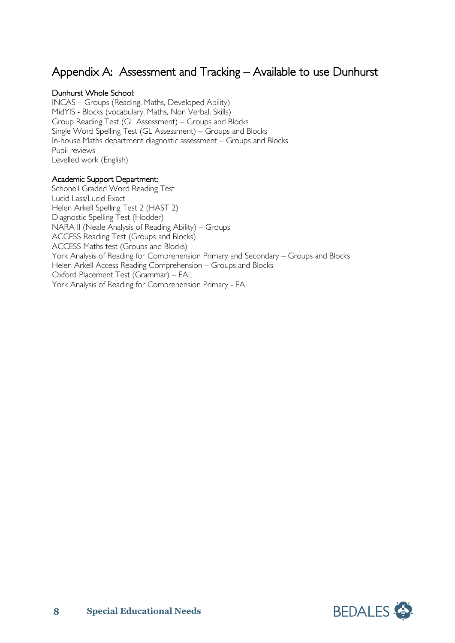## Appendix A: Assessment and Tracking – Available to use Dunhurst

#### Dunhurst Whole School:

INCAS – Groups (Reading, Maths, Developed Ability) MidYIS - Blocks (vocabulary, Maths, Non Verbal, Skills) Group Reading Test (GL Assessment) – Groups and Blocks Single Word Spelling Test (GL Assessment) – Groups and Blocks In-house Maths department diagnostic assessment – Groups and Blocks Pupil reviews Levelled work (English)

#### Academic Support Department:

Schonell Graded Word Reading Test Lucid Lass/Lucid Exact Helen Arkell Spelling Test 2 (HAST 2) Diagnostic Spelling Test (Hodder) NARA II (Neale Analysis of Reading Ability) – Groups ACCESS Reading Test (Groups and Blocks) ACCESS Maths test (Groups and Blocks) York Analysis of Reading for Comprehension Primary and Secondary – Groups and Blocks Helen Arkell Access Reading Comprehension – Groups and Blocks Oxford Placement Test (Grammar) – EAL York Analysis of Reading for Comprehension Primary - EAL

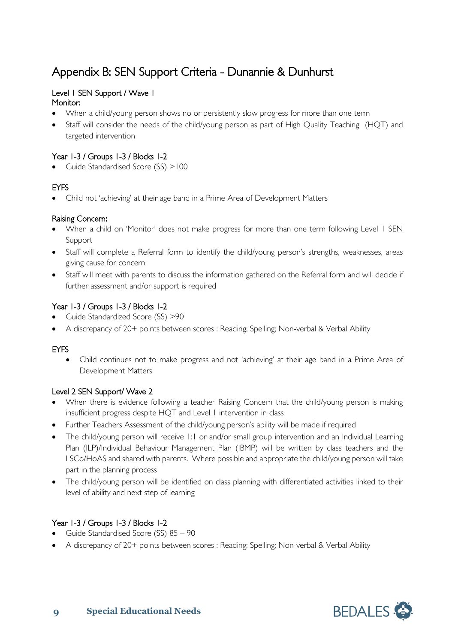## Appendix B: SEN Support Criteria - Dunannie & Dunhurst

### Level 1 SEN Support / Wave 1

#### Monitor:

- When a child/young person shows no or persistently slow progress for more than one term
- Staff will consider the needs of the child/young person as part of High Quality Teaching (HQT) and targeted intervention

#### Year 1-3 / Groups 1-3 / Blocks 1-2

Guide Standardised Score (SS) >100

#### EYFS

• Child not 'achieving' at their age band in a Prime Area of Development Matters

#### Raising Concern:

- When a child on 'Monitor' does not make progress for more than one term following Level 1 SEN Support
- Staff will complete a Referral form to identify the child/young person's strengths, weaknesses, areas giving cause for concern
- Staff will meet with parents to discuss the information gathered on the Referral form and will decide if further assessment and/or support is required

#### Year 1-3 / Groups 1-3 / Blocks 1-2

- Guide Standardized Score (SS) >90
- A discrepancy of 20+ points between scores : Reading; Spelling; Non-verbal & Verbal Ability

#### EYFS

• Child continues not to make progress and not 'achieving' at their age band in a Prime Area of Development Matters

#### Level 2 SEN Support/ Wave 2

- When there is evidence following a teacher Raising Concern that the child/young person is making insufficient progress despite HQT and Level 1 intervention in class
- Further Teachers Assessment of the child/young person's ability will be made if required
- The child/young person will receive 1:1 or and/or small group intervention and an Individual Learning Plan (ILP)/Individual Behaviour Management Plan (IBMP) will be written by class teachers and the LSCo/HoAS and shared with parents. Where possible and appropriate the child/young person will take part in the planning process
- The child/young person will be identified on class planning with differentiated activities linked to their level of ability and next step of learning

#### Year 1-3 / Groups 1-3 / Blocks 1-2

- Guide Standardised Score (SS) 85 90
- A discrepancy of 20+ points between scores : Reading; Spelling; Non-verbal & Verbal Ability

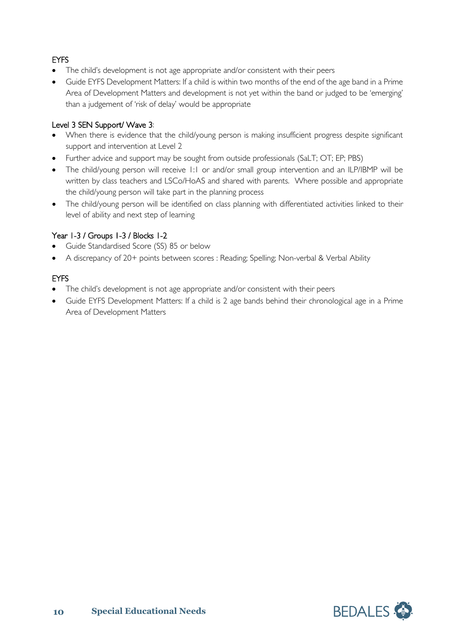### EYFS

- The child's development is not age appropriate and/or consistent with their peers
- Guide EYFS Development Matters: If a child is within two months of the end of the age band in a Prime Area of Development Matters and development is not yet within the band or judged to be 'emerging' than a judgement of 'risk of delay' would be appropriate

#### Level 3 SEN Support/ Wave 3:

- When there is evidence that the child/young person is making insufficient progress despite significant support and intervention at Level 2
- Further advice and support may be sought from outside professionals (SaLT; OT; EP; PBS)
- The child/young person will receive 1:1 or and/or small group intervention and an ILP/IBMP will be written by class teachers and LSCo/HoAS and shared with parents. Where possible and appropriate the child/young person will take part in the planning process
- The child/young person will be identified on class planning with differentiated activities linked to their level of ability and next step of learning

#### Year 1-3 / Groups 1-3 / Blocks 1-2

- Guide Standardised Score (SS) 85 or below
- A discrepancy of 20+ points between scores : Reading; Spelling; Non-verbal & Verbal Ability

#### EYFS

- The child's development is not age appropriate and/or consistent with their peers
- Guide EYFS Development Matters: If a child is 2 age bands behind their chronological age in a Prime Area of Development Matters

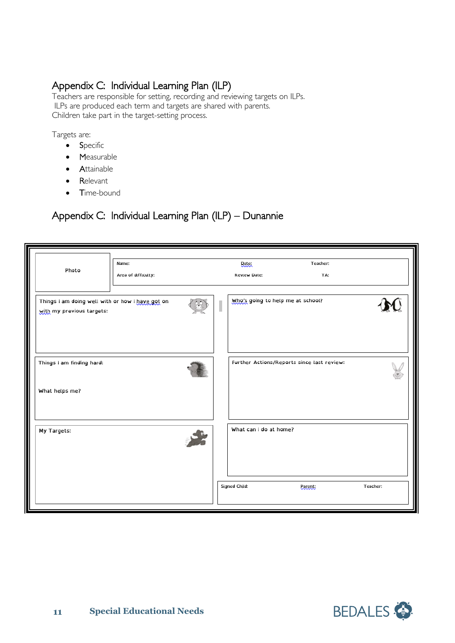Appendix C: Individual Learning Plan (ILP)<br>Teachers are responsible for setting, recording and reviewing targets on ILPs. ILPs are produced each term and targets are shared with parents. Children take part in the target-setting process.

Targets are:

- Specific
- Measurable
- Attainable
- Relevant
- Time-bound

## Appendix C: Individual Learning Plan (ILP) – Dunannie

|                                                                               | Name:               |  | Date:                             | Teacher:                                   |          |
|-------------------------------------------------------------------------------|---------------------|--|-----------------------------------|--------------------------------------------|----------|
| Photo                                                                         | Area of difficulty: |  | <b>Review Date:</b>               | TA:                                        |          |
|                                                                               |                     |  |                                   |                                            |          |
| Things I am doing well with or how I have got on<br>with my previous targets: |                     |  | Who's going to help me at school? |                                            |          |
|                                                                               |                     |  |                                   |                                            |          |
| Things I am finding hard:                                                     |                     |  |                                   | Further Actions/Reports since last review: |          |
| What helps me?                                                                |                     |  |                                   |                                            |          |
| My Targets:                                                                   |                     |  | What can I do at home?            |                                            |          |
|                                                                               |                     |  | Signed Child:                     | <b>Parent</b>                              | Teacher: |